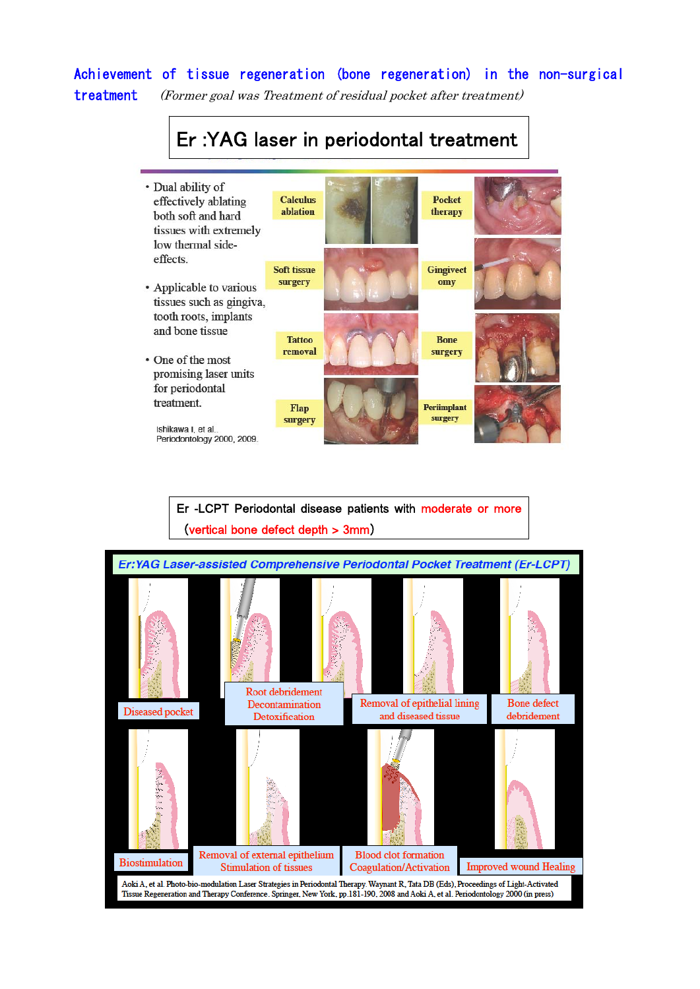### Achievement of tissue regeneration (bone regeneration) in the non-surgical treatment (Former goal was Treatment of residual pocket after treatment)

# Er :YAG laser in periodontal treatment

· Dual ability of **Calculus Pocket** effectively ablating ablation therapy both soft and hard tissues with extremely low thermal sideeffects. **Soft tissue Gingivect** surgery omy • Applicable to various tissues such as gingiva, tooth roots, implants and bone tissue **Tattoo Bone** removal surgery • One of the most promising laser units for periodontal treatment. Periimplant Flap surgery surgery Ishikawa I, et al. Periodontology 2000, 2009.

### Er -LCPT Periodontal disease patients with moderate or more (vertical bone defect depth > 3mm)

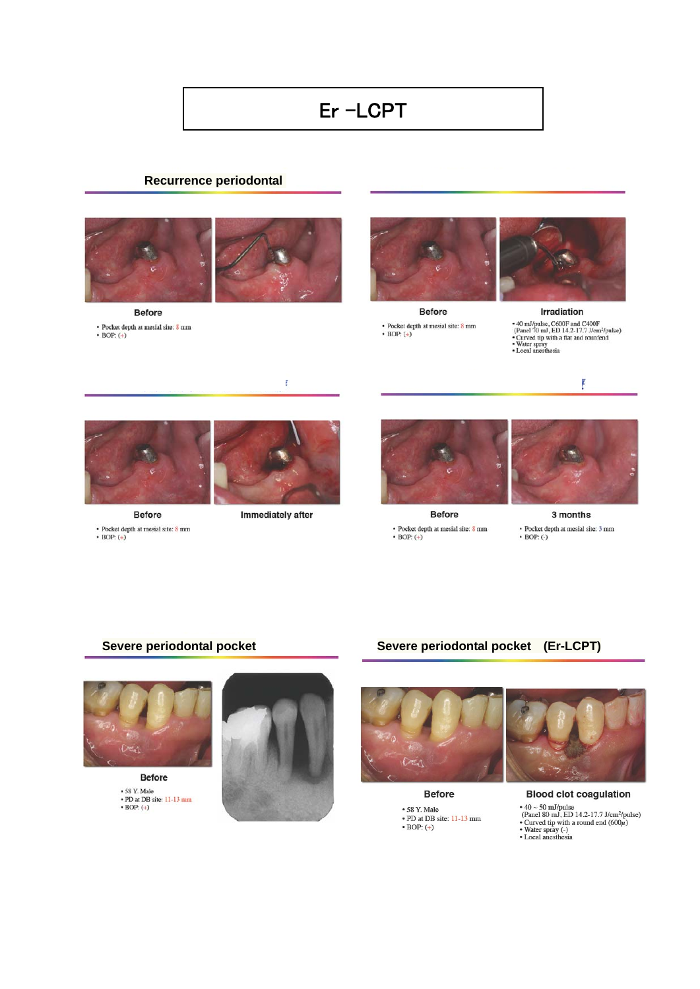# Er-LCPT

### **Recurrence periodontal**



**Before** 

- Pocket depth at mesial site:  $8$  mm  $\bullet$  BOP:  $(+)$ 



Before • Pocket depth at mesial site:  $8 \text{ mm}$ <br>• BOP:  $(+)$ 



Irradiation • 40 mJ/pulse, C600F and C400F<br>
(Panel 70 mJ, ED 14.2-17.7 J/cm<sup>2</sup>/pulse)<br>
• Curved tip with a flat and rounfend<br>
• Nater spray<br>
• Local anesthesia



Before - Pocket depth at mesial site: 8 mm<br> - BOP:  $(\boldsymbol{+})$ 



ŧ

Immediately after



**Before** - Pocket depth at mesial site:  $8$  mm - BOP:  $\left( +\right)$ 



È

3 months • Pocket depth at mesial site:  $3 \text{ mm}$  $\bullet$  BOP: (-)

### Severe periodontal pocket



 $\cdot$  58 Y. Male<br>  $\cdot$  PD at DB site: 11-13 mm<br>  $\cdot$  BOP:  $(+)$ 



Severe periodontal pocket (Er-LCPT)



**Before** • 58 Y. Male<br>• PD at DB site: 11-13 mm<br>• BOP: (+)



**Blood clot coagulation**  $\bullet$  40  $\sim$  50 mJ/pulse<br>
(Panel 80 mJ, ED 14.2-17.7 J/cm<sup>2</sup>/pulse)<br>  $\bullet$  Curved tip with a round end (600 $\mu$ )<br>  $\bullet$  Water spray (-)<br>  $\bullet$  Local anesthesia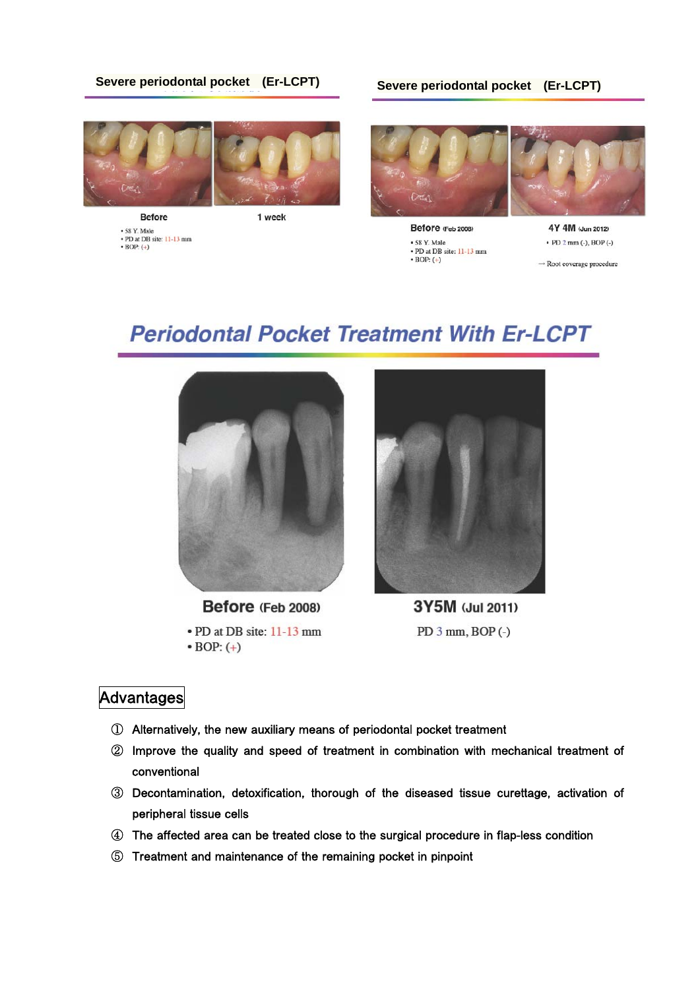### **Severe periodontal pocket (Er-LCPT) Severe periodontal pocket (Er-LCPT)**



**Before**  $\cdot$  58 Y. Male<br> $\cdot$  PD at DB site: 11-13 mm<br> $\cdot$  BOP:  $(+)$ 



Before (Feb 2008) • 58 Y. Male • PD at DB site: 11-13 mm  $\bullet$  BOP:  $(+)$ 



 $\rightarrow$  Root coverage procedure

# **Periodontal Pocket Treatment With Er-LCPT**



Before (Feb 2008)

• PD at DB site: 11-13 mm  $\bullet$  BOP:  $(+)$ 



3Y5M (Jul 2011) PD  $3$  mm, BOP  $(-)$ 

### **Advantages**

- ① Alternatively, the new auxiliary means of periodontal pocket treatment
- ② Improve the quality and speed of treatment in combination with mechanical treatment of conventional
- ③ Decontamination, detoxification, thorough of the diseased tissue curettage, activation of peripheral tissue cells
- ④ The affected area can be treated close to the surgical procedure in flap-less condition
- ⑤ Treatment and maintenance of the remaining pocket in pinpoint